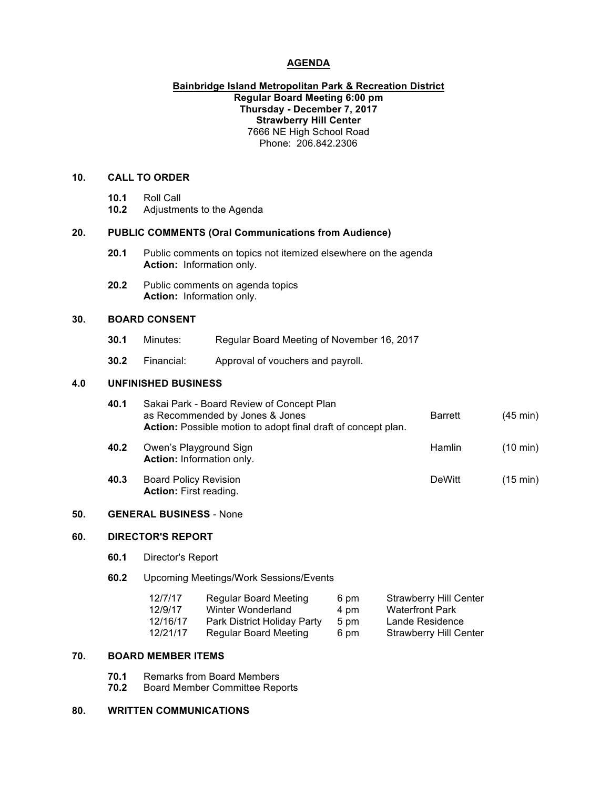## **AGENDA**

## **Bainbridge Island Metropolitan Park & Recreation District Regular Board Meeting 6:00 pm Thursday - December 7, 2017 Strawberry Hill Center** 7666 NE High School Road Phone: 206.842.2306

# **10. CALL TO ORDER**

- **10.1** Roll Call
- **10.2** Adjustments to the Agenda

## **20. PUBLIC COMMENTS (Oral Communications from Audience)**

- **20.1** Public comments on topics not itemized elsewhere on the agenda **Action:** Information only.
- **20.2** Public comments on agenda topics **Action:** Information only.

# **30. BOARD CONSENT**

- **30.1** Minutes: Regular Board Meeting of November 16, 2017
- **30.2** Financial: Approval of vouchers and payroll.

# **4.0 UNFINISHED BUSINESS**

| 40.1 | Sakai Park - Board Review of Concept Plan<br>as Recommended by Jones & Jones<br>Action: Possible motion to adopt final draft of concept plan. | <b>Barrett</b> | $(45 \text{ min})$ |
|------|-----------------------------------------------------------------------------------------------------------------------------------------------|----------------|--------------------|
| 40.2 | Owen's Playground Sign<br>Action: Information only.                                                                                           | <b>Hamlin</b>  | $(10 \text{ min})$ |
| 40.3 | <b>Board Policy Revision</b><br>Action: First reading.                                                                                        | <b>DeWitt</b>  | (15 min)           |

### **50. GENERAL BUSINESS** - None

### **60. DIRECTOR'S REPORT**

- **60.1** Director's Report
- **60.2** Upcoming Meetings/Work Sessions/Events

| 12/7/17  | <b>Regular Board Meeting</b> | 6 pm | <b>Strawberry Hill Center</b> |
|----------|------------------------------|------|-------------------------------|
| 12/9/17  | Winter Wonderland            | 4 pm | <b>Waterfront Park</b>        |
| 12/16/17 | Park District Holiday Party  | 5 pm | Lande Residence               |
| 12/21/17 | <b>Regular Board Meeting</b> | 6 pm | <b>Strawberry Hill Center</b> |

### **70. BOARD MEMBER ITEMS**

- **70.1** Remarks from Board Members
- **70.2** Board Member Committee Reports

### **80. WRITTEN COMMUNICATIONS**